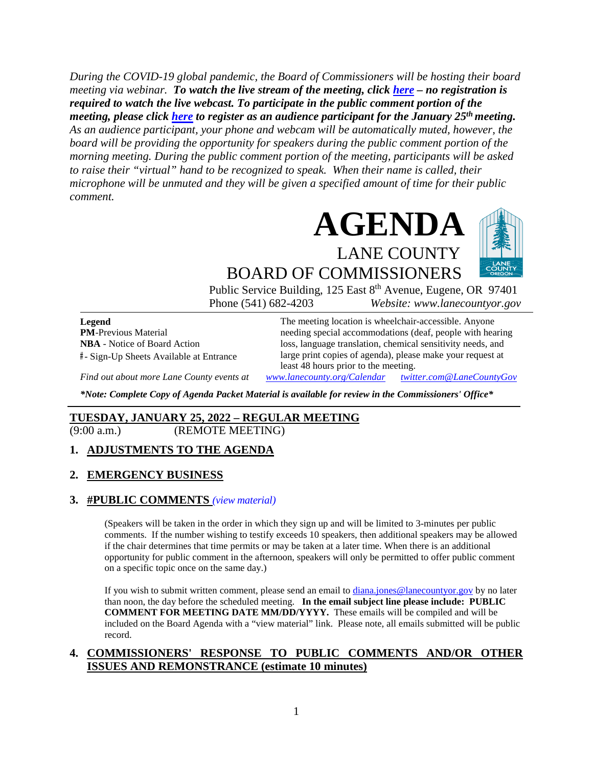*During the COVID-19 global pandemic, the Board of Commissioners will be hosting their board meeting via webinar. To watch the live stream of the meeting, click [here](https://lanecounty.org/cms/One.aspx?portalId=3585881&pageId=7842434) – no registration is required to watch the live webcast. To participate in the public comment portion of the meeting, please click [here](https://us06web.zoom.us/webinar/register/WN_zKm4fkxhTk6qz1NSxVhTUg) to register as an audience participant for the January 25th meeting. As an audience participant, your phone and webcam will be automatically muted, however, the board will be providing the opportunity for speakers during the public comment portion of the morning meeting. During the public comment portion of the meeting, participants will be asked to raise their "virtual" hand to be recognized to speak. When their name is called, their microphone will be unmuted and they will be given a specified amount of time for their public comment.* 



BOARD OF COMMISSIONERS

Public Service Building, 125 East 8<sup>th</sup> Avenue, Eugene, OR 97401 Phone (541) 682-4203 *Website: www.lanecountyor.gov*

**Legend PM**-Previous Material **NBA** - Notice of Board Action **#** - Sign-Up Sheets Available at Entrance

The meeting location is wheelchair-accessible. Anyone needing special accommodations (deaf, people with hearing loss, language translation, chemical sensitivity needs, and large print copies of agenda), please make your request at least 48 hours prior to the meeting.

*Find out about more Lane County events at [www.lanecounty.org/Calendar](http://www.lanecounty.org/Calendar) [twitter.com@LaneCountyGov](https://twitter.com/lanecountygov?lang=en)*

*\*Note: Complete Copy of Agenda Packet Material is available for review in the Commissioners' Office\**

## **TUESDAY, JANUARY 25, 2022 – REGULAR MEETING**

(9:00 a.m.) (REMOTE MEETING)

#### **1. ADJUSTMENTS TO THE AGENDA**

#### **2. EMERGENCY BUSINESS**

#### **3. #PUBLIC COMMENTS** *(view [material\)](http://www.lanecountyor.gov/UserFiles/Servers/Server_3585797/File/Government/BCC/2022/2022_AGENDAS/012522agenda/T.3.pdf)*

(Speakers will be taken in the order in which they sign up and will be limited to 3-minutes per public comments. If the number wishing to testify exceeds 10 speakers, then additional speakers may be allowed if the chair determines that time permits or may be taken at a later time. When there is an additional opportunity for public comment in the afternoon, speakers will only be permitted to offer public comment on a specific topic once on the same day.)

If you wish to submit written comment, please send an email to [diana.jones@lanecountyor.gov](mailto:diana.jones@lanecountyor.gov) by no later than noon, the day before the scheduled meeting. **In the email subject line please include: PUBLIC COMMENT FOR MEETING DATE MM/DD/YYYY.** These emails will be compiled and will be included on the Board Agenda with a "view material" link. Please note, all emails submitted will be public record.

#### **4. COMMISSIONERS' RESPONSE TO PUBLIC COMMENTS AND/OR OTHER ISSUES AND REMONSTRANCE (estimate 10 minutes)**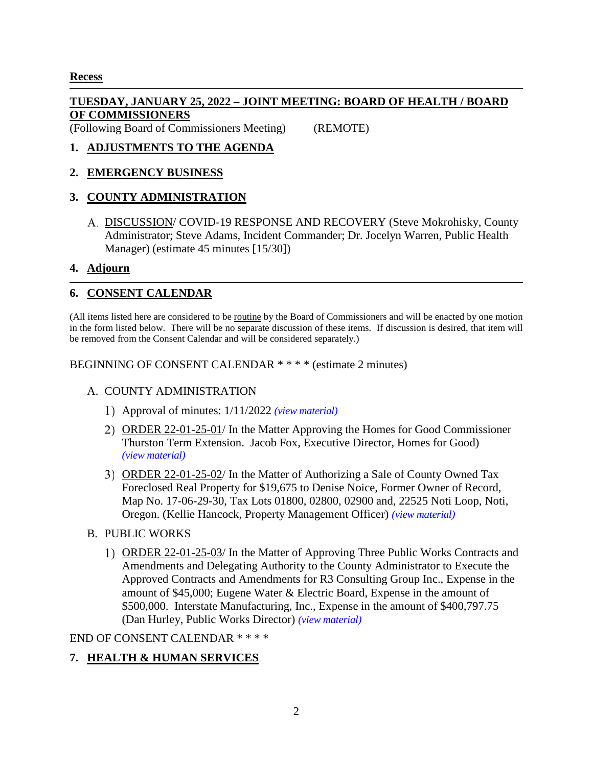## **Recess**

## **TUESDAY, JANUARY 25, 2022 – JOINT MEETING: BOARD OF HEALTH / BOARD OF COMMISSIONERS**

(Following Board of Commissioners Meeting) (REMOTE)

# **1. ADJUSTMENTS TO THE AGENDA**

#### **2. EMERGENCY BUSINESS**

# **3. COUNTY ADMINISTRATION**

DISCUSSION/ COVID-19 RESPONSE AND RECOVERY (Steve Mokrohisky, County Administrator; Steve Adams, Incident Commander; Dr. Jocelyn Warren, Public Health Manager) (estimate 45 minutes [15/30])

#### **4. Adjourn**

## **6. CONSENT CALENDAR**

(All items listed here are considered to be routine by the Board of Commissioners and will be enacted by one motion in the form listed below. There will be no separate discussion of these items. If discussion is desired, that item will be removed from the Consent Calendar and will be considered separately.)

BEGINNING OF CONSENT CALENDAR \* \* \* \* (estimate 2 minutes)

#### A. COUNTY ADMINISTRATION

- Approval of minutes: 1/11/2022 *(view [material\)](http://www.lanecountyor.gov/UserFiles/Servers/Server_3585797/File/Government/BCC/2022/2022_AGENDAS/012522agenda/T.6.A.1.pdf)*
- ORDER 22-01-25-01/ In the Matter Approving the Homes for Good Commissioner Thurston Term Extension. Jacob Fox, Executive Director, Homes for Good) *(view [material\)](http://www.lanecountyor.gov/UserFiles/Servers/Server_3585797/File/Government/BCC/2022/2022_AGENDAS/012522agenda/T.6.A.2.pdf)*
- ORDER 22-01-25-02/ In the Matter of Authorizing a Sale of County Owned Tax Foreclosed Real Property for \$19,675 to Denise Noice, Former Owner of Record, Map No. 17-06-29-30, Tax Lots 01800, 02800, 02900 and, 22525 Noti Loop, Noti, Oregon. (Kellie Hancock, Property Management Officer) *(view [material\)](http://www.lanecountyor.gov/UserFiles/Servers/Server_3585797/File/Government/BCC/2022/2022_AGENDAS/012522agenda/T.6.A.3.pdf)*
- B. PUBLIC WORKS
	- ORDER 22-01-25-03/ In the Matter of Approving Three Public Works Contracts and Amendments and Delegating Authority to the County Administrator to Execute the Approved Contracts and Amendments for R3 Consulting Group Inc., Expense in the amount of \$45,000; Eugene Water & Electric Board, Expense in the amount of \$500,000. Interstate Manufacturing, Inc., Expense in the amount of \$400,797.75 (Dan Hurley, Public Works Director) *(view [material\)](http://www.lanecountyor.gov/UserFiles/Servers/Server_3585797/File/Government/BCC/2022/2022_AGENDAS/012522agenda/T.6.B.1.pdf)*

END OF CONSENT CALENDAR \* \* \* \*

# **7. HEALTH & HUMAN SERVICES**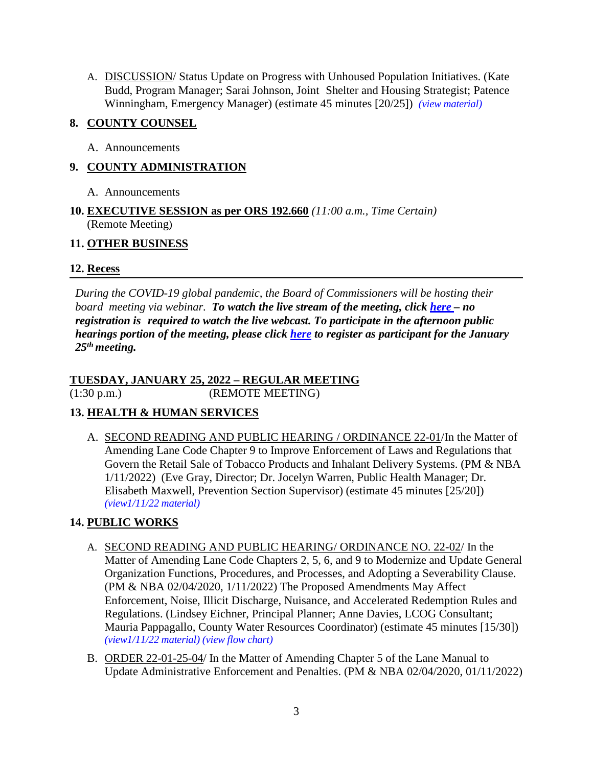A. DISCUSSION/ Status Update on Progress with Unhoused Population Initiatives. (Kate Budd, Program Manager; Sarai Johnson, Joint Shelter and Housing Strategist; Patence Winningham, Emergency Manager) (estimate 45 minutes [20/25]) *(view [material\)](http://www.lanecountyor.gov/UserFiles/Servers/Server_3585797/File/Government/BCC/2022/2022_AGENDAS/012522agenda/T.7.A.pdf)*

## **8. COUNTY COUNSEL**

A. Announcements

# **9. COUNTY ADMINISTRATION**

- A. Announcements
- **10. EXECUTIVE SESSION as per ORS 192.660** *(11:00 a.m., Time Certain)* (Remote Meeting)

# **11. OTHER BUSINESS**

# **12. Recess**

*During the COVID-19 global pandemic, the Board of Commissioners will be hosting their board meeting via webinar. To watch the live stream of the meeting, click [here](https://lanecounty.org/cms/One.aspx?portalId=3585881&pageId=7842434) – no registration is required to watch the live webcast. To participate in the afternoon public hearings portion of the meeting, please click [here](https://us06web.zoom.us/webinar/register/WN_yao9Yzj9RVOgAXY-rghm-w) to register as participant for the January 25th meeting.*

# **TUESDAY, JANUARY 25, 2022 – REGULAR MEETING**

(1:30 p.m.) (REMOTE MEETING)

# **13. HEALTH & HUMAN SERVICES**

A. SECOND READING AND PUBLIC HEARING / ORDINANCE 22-01/In the Matter of Amending Lane Code Chapter 9 to Improve Enforcement of Laws and Regulations that Govern the Retail Sale of Tobacco Products and Inhalant Delivery Systems. (PM & NBA 1/11/2022) (Eve Gray, Director; Dr. Jocelyn Warren, Public Health Manager; Dr. Elisabeth Maxwell, Prevention Section Supervisor) (estimate 45 minutes [25/20]) *[\(view1/11/22](http://www.lanecountyor.gov/UserFiles/Servers/Server_3585797/File/Government/BCC/2022/2022_AGENDAS/011122agenda/T.7.A.pdf) material)*

# **14. PUBLIC WORKS**

- A. SECOND READING AND PUBLIC HEARING/ ORDINANCE NO. 22-02/ In the Matter of Amending Lane Code Chapters 2, 5, 6, and 9 to Modernize and Update General Organization Functions, Procedures, and Processes, and Adopting a Severability Clause. (PM & NBA 02/04/2020, 1/11/2022) The Proposed Amendments May Affect Enforcement, Noise, Illicit Discharge, Nuisance, and Accelerated Redemption Rules and Regulations. (Lindsey Eichner, Principal Planner; Anne Davies, LCOG Consultant; Mauria Pappagallo, County Water Resources Coordinator) (estimate 45 minutes [15/30]) *[\(view1/11/22](http://www.lanecountyor.gov/UserFiles/Servers/Server_3585797/File/Government/BCC/2022/2022_AGENDAS/011122agenda/T.12.A.pdf) material) (view [flow chart\)](http://www.lanecountyor.gov/UserFiles/Servers/Server_3585797/File/Government/BCC/2022/2022_AGENDAS/012522agenda/T.14.A.pdf)*
- B. ORDER 22-01-25-04/ In the Matter of Amending Chapter 5 of the Lane Manual to Update Administrative Enforcement and Penalties. (PM & NBA 02/04/2020, 01/11/2022)